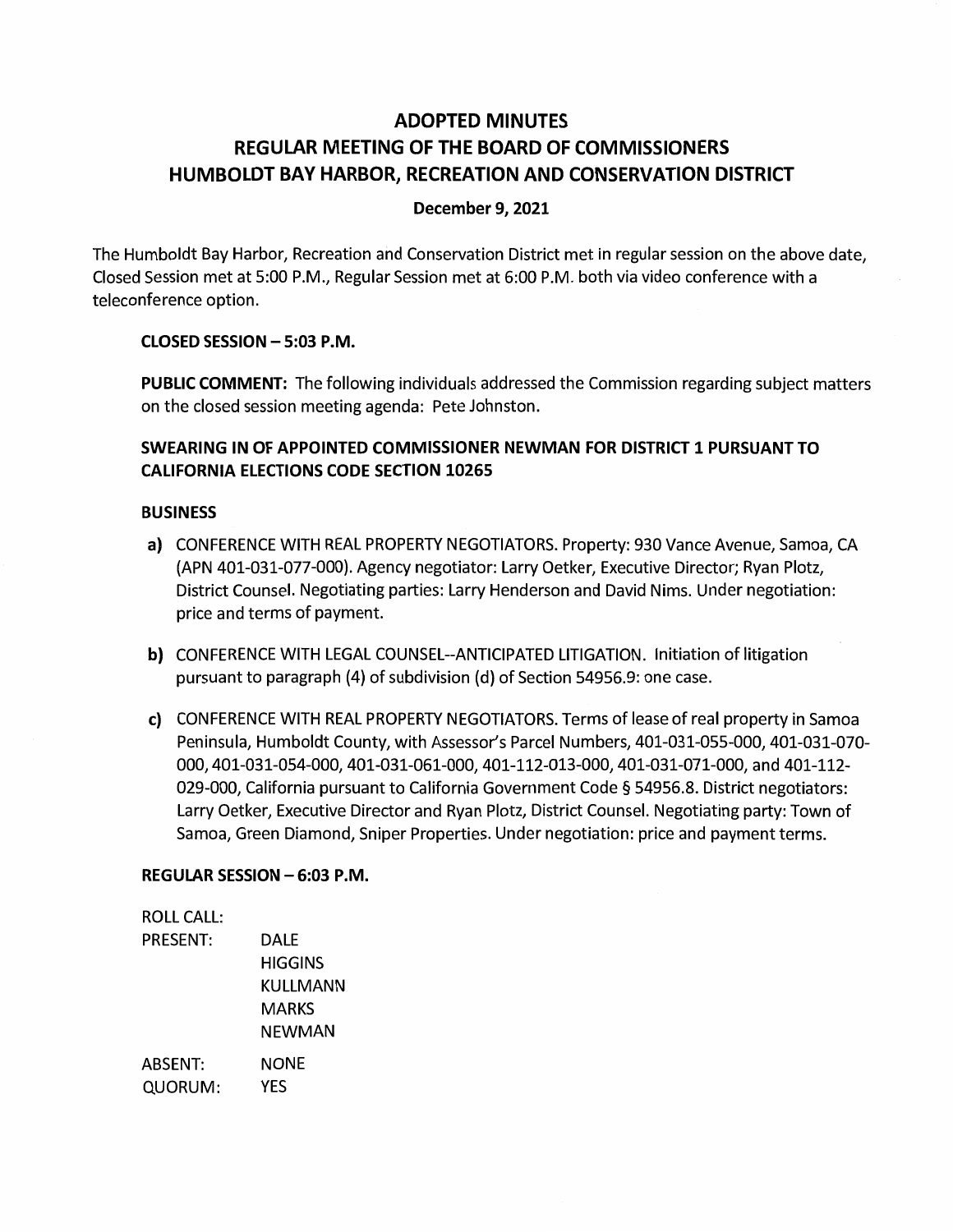# **ADOPTED MINUTES REGULAR MEETING OF THE BOARD OF COMMISSIONERS HUMBOLDT BAY HARBOR, RECREATION AND CONSERVATION DISTRICT**

### **December 9, 2021**

The Humboldt Bay Harbor, Recreation and Conservation District met in regular session on the above date, Closed Session met at 5:00 P.M., Regular Session met at 6:00 P.M. both via video conference with a teleconference option.

#### **CLOSED SESSION - 5:03 P.M.**

**PUBLIC COMMENT:** The following individuals addressed the Commission regarding subject matters on the closed session meeting agenda: Pete Johnston.

# **SWEARING IN OF APPOINTED COMMISSIONER NEWMAN FOR DISTRICT 1 PURSUANT TO CALIFORNIA ELECTIONS CODE SECTION 10265**

#### **BUSINESS**

- a) CONFERENCE WITH REAL PROPERTY NEGOTIATORS. Property: 930 Vance Avenue, Samoa, CA (APN 401-031-077-000). Agency negotiator: Larry Oetker, Executive Director; Ryan Plotz, District Counsel. Negotiating parties: Larry Henderson and David Nims. Under negotiation: price and terms of payment.
- **b)** CONFERENCE WITH LEGAL COUNSEL--ANTICIPATED LITIGATION. Initiation of litigation pursuant to paragraph (4) of subdivision (d) of Section 54956.9: one case.
- c) CONFERENCE WITH REAL PROPERTY NEGOTIATORS. Terms of lease of real property in Samoa Peninsula, Humboldt County, with Assessor's Parcel Numbers, 401-031-055-000, 401-031-070- 000, 401-031-054-000, 401-031-061-000, 401-112-013-000, 401-031-071-000, and 401-112- 029-000, California pursuant to California Government Code § 54956.8. District negotiators: Larry Oetker, Executive Director and Ryan Plotz, District Counsel. Negotiating party: Town of Samoa, Green Diamond, Sniper Properties. Under negotiation: price and payment terms.

## **REGULAR SESSION - 6:03 P.M.**

| <b>ROLL CALL:</b> |          |
|-------------------|----------|
| PRESENT:          | DALE     |
|                   | HIGGINS  |
|                   | KULLMANN |
|                   | MARKS    |
|                   | NEWMAN   |
| ABSENT:           | NONE     |
| QUORUM:           | YES      |
|                   |          |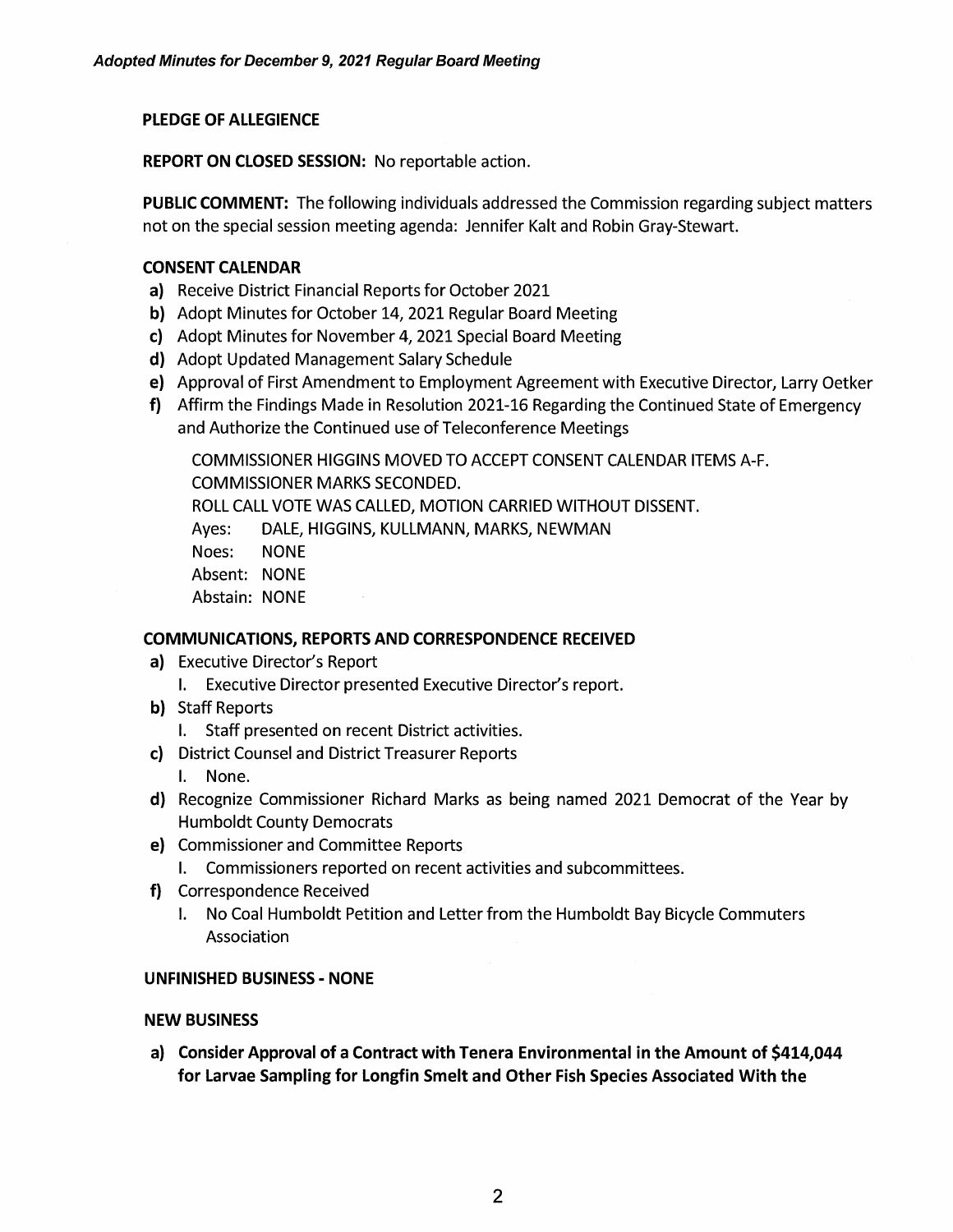## **PLEDGE OF ALLEGIENCE**

**REPORT ON CLOSED SESSION:** No reportable action.

**PUBLIC COMMENT:** The following individuals addressed the Commission regarding subject matters not on the special session meeting agenda: Jennifer Kalt and Robin Gray-Stewart.

#### **CONSENT CALENDAR**

- **a)** Receive District Financial Reports for October 2021
- **b)** Adopt Minutes for October 14, 2021 Regular Board Meeting
- **c)** Adopt Minutes for November 4, 2021 Special Board Meeting
- **d)** Adopt Updated Management Salary Schedule
- e) Approval of First Amendment to Employment Agreement with Executive Director, Larry Oetker
- **f)** Affirm the Findings Made in Resolution 2021-16 Regarding the Continued State of Emergency and Authorize the Continued use of Teleconference Meetings

**COMMISSIONER HIGGINS MOVED TO ACCEPT CONSENT CALENDAR ITEMS A-F. COMMISSIONER MARKS SECONDED. ROLL CALL VOTE WAS CALLED, MOTION CARRIED WITHOUT DISSENT. Ayes: DALE, HIGGINS, KULLMANN, MARKS, NEWMAN Noes: NONE Absent: NONE Abstain: NONE** 

## **COMMUNICATIONS, REPORTS AND CORRESPONDENCE RECEIVED**

- **a)** Executive Director's Report
	- I. Executive Director presented Executive Director's report.
- **b)** Staff Reports
	- I. Staff presented on recent District activities.
- **c)** District Counsel and District Treasurer Reports
	- I. None.
- **d)** Recognize Commissioner Richard Marks as being named 2021 Democrat of the Year by Humboldt County Democrats
- **e)** Commissioner and Committee Reports
	- I. Commissioners reported on recent activities and subcommittees.
- **f)** Correspondence Received
	- I. No Coal Humboldt Petition and Letter from the Humboldt Bay Bicycle Commuters Association

#### **UNFINISHED BUSINESS** - **NONE**

#### **NEW BUSINESS**

**a) Consider Approval of a Contract with Tenera Environmental in the Amount of \$414,044 for Larvae Sampling for Longtin Smelt and Other Fish Species Associated With the**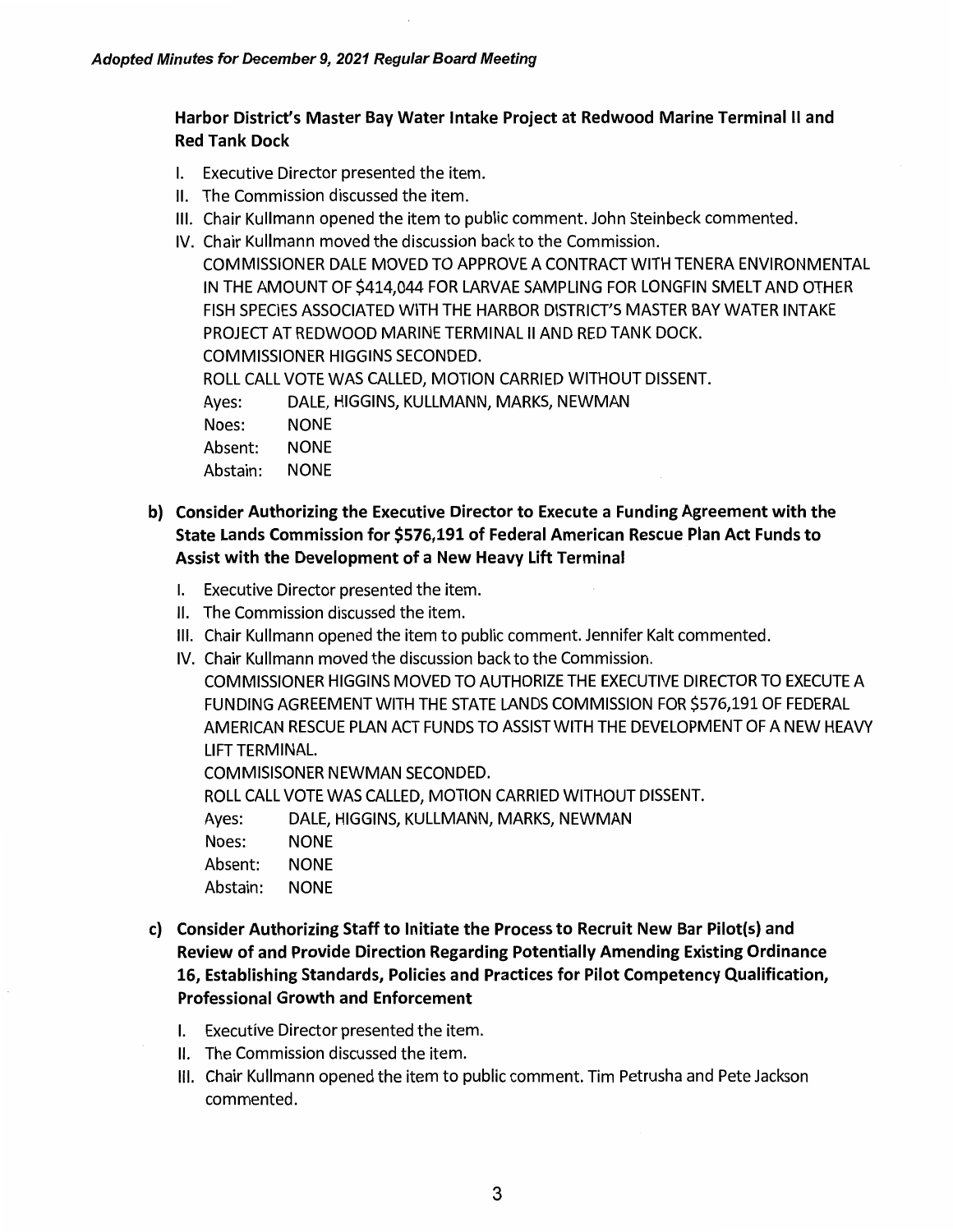# **Harbor District's Master Bay Water Intake Project at Redwood Marine Terminal** II **and Red Tank Dock**

- I. Executive Director presented the item.
- II. The Commission discussed the item.
- Ill. Chair Kullmann opened the item to public comment. John Steinbeck commented.
- IV. Chair Kullmann moved the discussion back to the Commission.

COMMISSIONER DALE MOVED TO APPROVE A CONTRACT WITH TENERA ENVIRONMENTAL IN THE AMOUNT OF \$414,044 FOR LARVAE SAMPLING FOR LONGFIN SMELT AND OTHER FISH SPECIES ASSOCIATED WITH THE HARBOR DISTRICT'S MASTER BAY WATER INTAKE PROJECT AT REDWOOD MARINE TERMINAL II AND RED TANK DOCK. COMMISSIONER HIGGINS SECONDED. ROLL CALL VOTE WAS CALLED, MOTION CARRIED WITHOUT DISSENT. Ayes: DALE, HIGGINS, KULLMANN, MARKS, NEWMAN Noes: NONE Absent: NONE Abstain: NONE

- **b) Consider Authorizing the Executive Director to Execute a Funding Agreement with the State Lands Commission for \$576,191 of Federal American Rescue Plan Act Funds to Assist with the Development of a New Heavy Lift Terminal** 
	- I. Executive Director presented the item.
	- II. The Commission discussed the item.
	- Ill. Chair Kullmann opened the item to public comment. Jennifer Kalt commented.
	- IV. Chair Kullmann moved the discussion back to the Commission.

COMMISSIONER HIGGINS MOVED TO AUTHORIZE THE EXECUTIVE DIRECTOR TO EXECUTE A FUNDING AGREEMENT WITH THE STATE LANDS COMMISSION FOR \$576,191 OF FEDERAL AMERICAN RESCUE PLAN ACT FUNDS TO ASSIST WITH THE DEVELOPMENT OF A NEW HEAVY LIFT TERMINAL.

COMMISISONER NEWMAN SECONDED.

ROLL CALL VOTE WAS CALLED, MOTION CARRIED WITHOUT DISSENT.

Ayes: DALE, HIGGINS, KULLMANN, MARKS, NEWMAN

Noes: NONE

Absent: NONE

Abstain: NONE

- **c) Consider Authorizing Staff to Initiate the Process to Recruit New Bar Pilot(s) and Review of and Provide Direction Regarding Potentially Amending Existing Ordinance 16, Establishing Standards, Policies and Practices for Pilot Competency Qualification, Professional Growth and Enforcement** 
	- I. Executive Director presented the item.
	- II. The Commission discussed the item.
	- Ill. Chair Kullmann opened the item to public comment. Tim Petrusha and Pete Jackson commented.